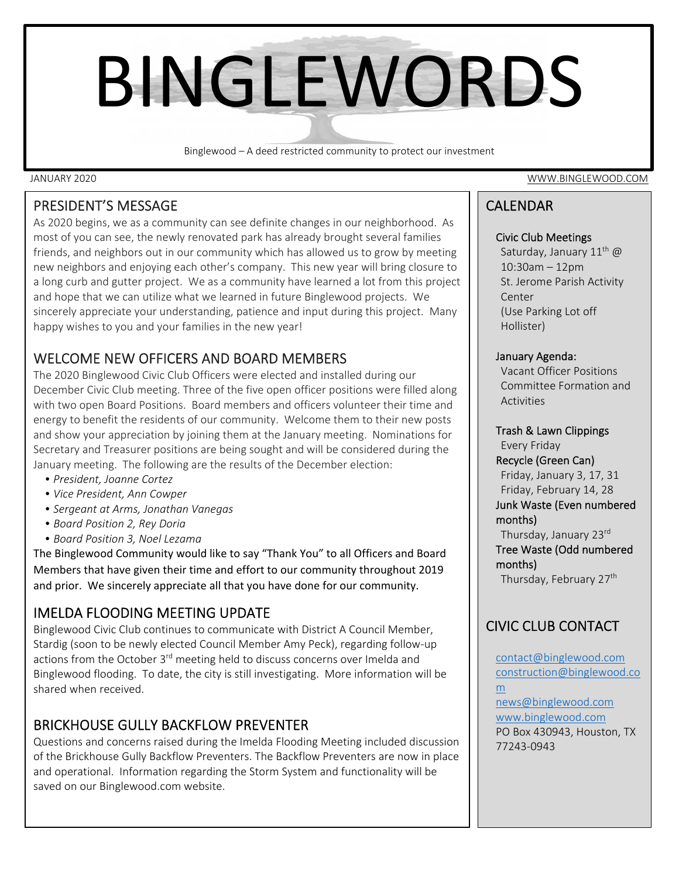# BINGLEWORDS

Binglewood – A deed restricted community to protect our investment

### PRESIDENT'S MESSAGE

As 2020 begins, we as a community can see definite changes in our neighborhood. As most of you can see, the newly renovated park has already brought several families friends, and neighbors out in our community which has allowed us to grow by meeting new neighbors and enjoying each other's company. This new year will bring closure to a long curb and gutter project. We as a community have learned a lot from this project and hope that we can utilize what we learned in future Binglewood projects. We sincerely appreciate your understanding, patience and input during this project. Many happy wishes to you and your families in the new year!

# WELCOME NEW OFFICERS AND BOARD MEMBERS

The 2020 Binglewood Civic Club Officers were elected and installed during our December Civic Club meeting. Three of the five open officer positions were filled along with two open Board Positions. Board members and officers volunteer their time and energy to benefit the residents of our community. Welcome them to their new posts and show your appreciation by joining them at the January meeting. Nominations for Secretary and Treasurer positions are being sought and will be considered during the January meeting. The following are the results of the December election:

- *President, Joanne Cortez*
- *Vice President, Ann Cowper*
- *Sergeant at Arms, Jonathan Vanegas*
- *Board Position 2, Rey Doria*
- *Board Position 3, Noel Lezama*

The Binglewood Community would like to say "Thank You" to all Officers and Board Members that have given their time and effort to our community throughout 2019 and prior. We sincerely appreciate all that you have done for our community.

## IMELDA FLOODING MEETING UPDATE

Binglewood Civic Club continues to communicate with District A Council Member, Stardig (soon to be newly elected Council Member Amy Peck), regarding follow‐up actions from the October 3<sup>rd</sup> meeting held to discuss concerns over Imelda and Binglewood flooding. To date, the city is still investigating. More information will be shared when received.

# BRICKHOUSE GULLY BACKFLOW PREVENTER

Questions and concerns raised during the Imelda Flooding Meeting included discussion of the Brickhouse Gully Backflow Preventers. The Backflow Preventers are now in place and operational. Information regarding the Storm System and functionality will be saved on our Binglewood.com website.

JANUARY 2020 WWW.BINGLEWOOD.COM

# CALENDAR

#### Civic Club Meetings

Saturday, January  $11^{th}$  @ 10:30am – 12pm St. Jerome Parish Activity Center (Use Parking Lot off Hollister)

#### January Agenda:

Vacant Officer Positions Committee Formation and Activities

#### Trash & Lawn Clippings

Every Friday Recycle (Green Can) Friday, January 3, 17, 31 Friday, February 14, 28 Junk Waste (Even numbered months) Thursday, January 23rd Tree Waste (Odd numbered

months) Thursday, February 27<sup>th</sup>

# CIVIC CLUB CONTACT

contact@binglewood.com construction@binglewood.co m news@binglewood.com www.binglewood.com PO Box 430943, Houston, TX 77243‐0943